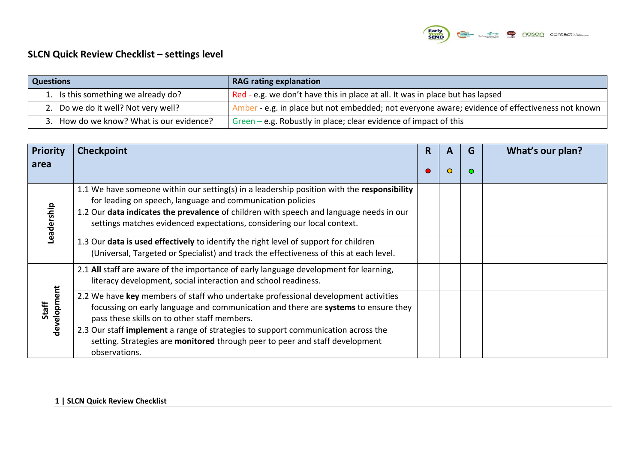

## **SLCN Quick Review Checklist – settings level**

| <b>Questions</b>                         | <b>RAG rating explanation</b>                                                                 |  |  |  |  |  |  |
|------------------------------------------|-----------------------------------------------------------------------------------------------|--|--|--|--|--|--|
| 1. Is this something we already do?      | Red - e.g. we don't have this in place at all. It was in place but has lapsed                 |  |  |  |  |  |  |
| 2. Do we do it well? Not very well?      | Amber e.g. in place but not embedded; not everyone aware; evidence of effectiveness not known |  |  |  |  |  |  |
| 3. How do we know? What is our evidence? | Green – e.g. Robustly in place; clear evidence of impact of this                              |  |  |  |  |  |  |

| <b>Priority</b>      | <b>Checkpoint</b>                                                                                                                                                                                                        | R | A       | G       | What's our plan? |
|----------------------|--------------------------------------------------------------------------------------------------------------------------------------------------------------------------------------------------------------------------|---|---------|---------|------------------|
| area                 |                                                                                                                                                                                                                          |   | $\circ$ | $\circ$ |                  |
| Leadership           | 1.1 We have someone within our setting(s) in a leadership position with the responsibility<br>for leading on speech, language and communication policies                                                                 |   |         |         |                  |
|                      | 1.2 Our data indicates the prevalence of children with speech and language needs in our<br>settings matches evidenced expectations, considering our local context.                                                       |   |         |         |                  |
|                      | 1.3 Our data is used effectively to identify the right level of support for children<br>(Universal, Targeted or Specialist) and track the effectiveness of this at each level.                                           |   |         |         |                  |
| development<br>Staff | 2.1 All staff are aware of the importance of early language development for learning,<br>literacy development, social interaction and school readiness.                                                                  |   |         |         |                  |
|                      | 2.2 We have key members of staff who undertake professional development activities<br>focussing on early language and communication and there are systems to ensure they<br>pass these skills on to other staff members. |   |         |         |                  |
|                      | 2.3 Our staff implement a range of strategies to support communication across the<br>setting. Strategies are monitored through peer to peer and staff development<br>observations.                                       |   |         |         |                  |